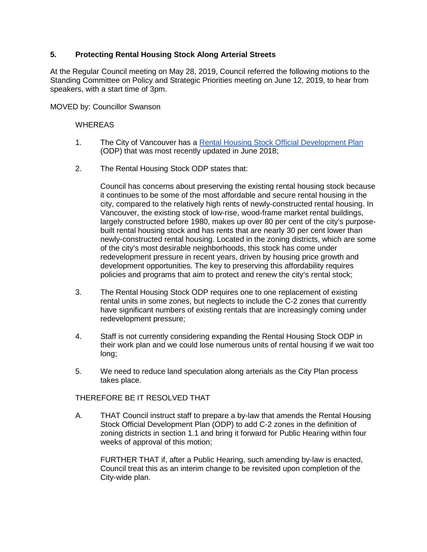## **5. Protecting Rental Housing Stock Along Arterial Streets**

At the Regular Council meeting on May 28, 2019, Council referred the following motions to the Standing Committee on Policy and Strategic Priorities meeting on June 12, 2019, to hear from speakers, with a start time of 3pm.

MOVED by: Councillor Swanson

## WHEREAS

- 1. The City of Vancouver has a [Rental Housing Stock Official Development Plan](https://bylaws.vancouver.ca/odp/RHS.pdf) (ODP) that was most recently updated in June 2018;
- 2. The Rental Housing Stock ODP states that:

Council has concerns about preserving the existing rental housing stock because it continues to be some of the most affordable and secure rental housing in the city, compared to the relatively high rents of newly-constructed rental housing. In Vancouver, the existing stock of low-rise, wood-frame market rental buildings, largely constructed before 1980, makes up over 80 per cent of the city's purposebuilt rental housing stock and has rents that are nearly 30 per cent lower than newly-constructed rental housing. Located in the zoning districts, which are some of the city's most desirable neighborhoods, this stock has come under redevelopment pressure in recent years, driven by housing price growth and development opportunities. The key to preserving this affordability requires policies and programs that aim to protect and renew the city's rental stock;

- 3. The Rental Housing Stock ODP requires one to one replacement of existing rental units in some zones, but neglects to include the C-2 zones that currently have significant numbers of existing rentals that are increasingly coming under redevelopment pressure;
- 4. Staff is not currently considering expanding the Rental Housing Stock ODP in their work plan and we could lose numerous units of rental housing if we wait too long;
- 5. We need to reduce land speculation along arterials as the City Plan process takes place.

## THEREFORE BE IT RESOLVED THAT

A. THAT Council instruct staff to prepare a by-law that amends the Rental Housing Stock Official Development Plan (ODP) to add C-2 zones in the definition of zoning districts in section 1.1 and bring it forward for Public Hearing within four weeks of approval of this motion;

FURTHER THAT if, after a Public Hearing, such amending by-law is enacted, Council treat this as an interim change to be revisited upon completion of the City-wide plan.